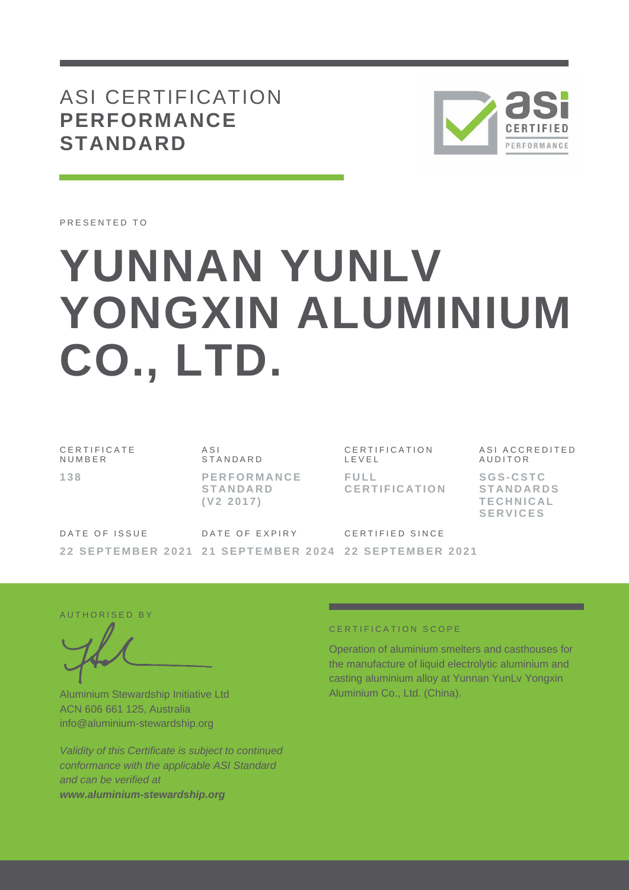## ASI CERTIFICATION **PERFORMANCE STANDARD**



PRESENTED TO

# **YUNNAN YUNLV YONGXIN ALUMINIUM CO., LTD.**

C E R T I F I C A T E N U M B E R **1 3 8**

 $A S I$ **STANDARD P E R F O R M A N C E S T A N D A R D ( V 2 2 0 1 7 )**

CERTIFICATION L E V E L **F U L L C E R T I F I C A T I O N** ASI ACCREDITED **AUDITOR** 

**S G S- C S T C S T A N D A R D S T E C H N I C A L S E R V I C E S**

DATE OF ISSUE **2 2 S E P T E M B E R 2 0 2 1 2 1 S E P T E M B E R 202 4 2 2 S E P T E M B E R 2 0 2 1** DATE OF EXPIRY CERTIFIED SINCE

AUTHORISED BY

Aluminium Stewardship Initiative Ltd ACN 606 661 125, Australia info@aluminium-stewardship.org

*Validity of this Certificate is subject to continued conformance with the applicable ASI Standard and can be verified at www.aluminium-stewardship.org*

#### CERTIFICATION SCOPE

Operation of aluminium smelters and casthouses for the manufacture of liquid electrolytic aluminium and casting aluminium alloy at Yunnan YunLv Yongxin Aluminium Co., Ltd. (China).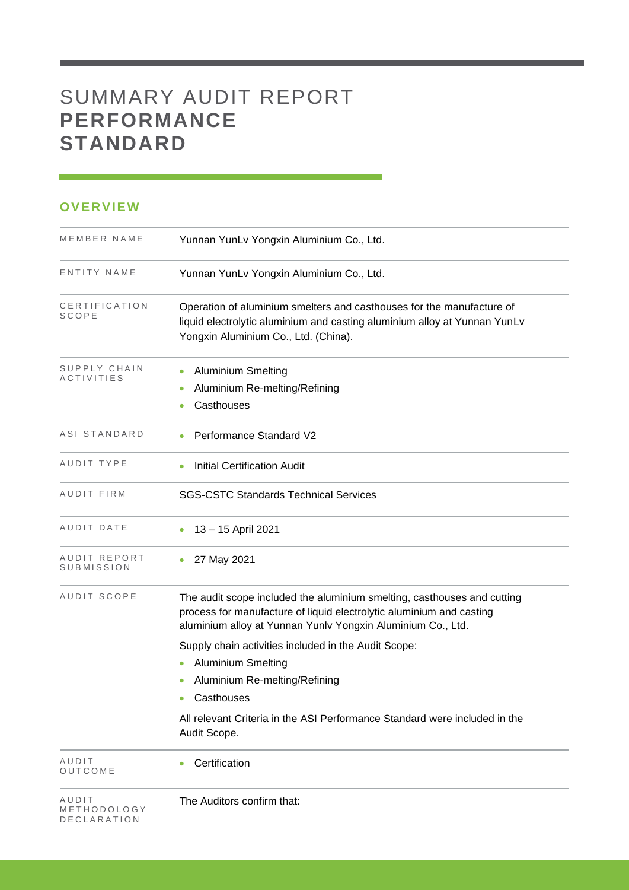# SUMMARY AUDIT REPORT **PERFORMANCE STANDARD**

#### **OVERVIEW**

| MEMBER NAME                         | Yunnan YunLv Yongxin Aluminium Co., Ltd.                                                                                                                                                                       |
|-------------------------------------|----------------------------------------------------------------------------------------------------------------------------------------------------------------------------------------------------------------|
| ENTITY NAME                         | Yunnan YunLv Yongxin Aluminium Co., Ltd.                                                                                                                                                                       |
| CERTIFICATION<br>SCOPE              | Operation of aluminium smelters and casthouses for the manufacture of<br>liquid electrolytic aluminium and casting aluminium alloy at Yunnan YunLv<br>Yongxin Aluminium Co., Ltd. (China).                     |
| SUPPLY CHAIN<br><b>ACTIVITIES</b>   | <b>Aluminium Smelting</b><br>Aluminium Re-melting/Refining<br>Casthouses                                                                                                                                       |
| ASI STANDARD                        | Performance Standard V2                                                                                                                                                                                        |
| AUDIT TYPE                          | <b>Initial Certification Audit</b>                                                                                                                                                                             |
| AUDIT FIRM                          | <b>SGS-CSTC Standards Technical Services</b>                                                                                                                                                                   |
| AUDIT DATE                          | 13 - 15 April 2021                                                                                                                                                                                             |
| AUDIT REPORT<br>SUBMISSION          | 27 May 2021<br>۰                                                                                                                                                                                               |
| AUDIT SCOPE                         | The audit scope included the aluminium smelting, casthouses and cutting<br>process for manufacture of liquid electrolytic aluminium and casting<br>aluminium alloy at Yunnan Yunlv Yongxin Aluminium Co., Ltd. |
|                                     | Supply chain activities included in the Audit Scope:                                                                                                                                                           |
|                                     | <b>Aluminium Smelting</b>                                                                                                                                                                                      |
|                                     | Aluminium Re-melting/Refining                                                                                                                                                                                  |
|                                     | Casthouses<br>$\bullet$                                                                                                                                                                                        |
|                                     | All relevant Criteria in the ASI Performance Standard were included in the<br>Audit Scope.                                                                                                                     |
| AUDIT<br>OUTCOME                    | Certification                                                                                                                                                                                                  |
| AUDIT<br>METHODOLOGY<br>DECLARATION | The Auditors confirm that:                                                                                                                                                                                     |

and the control of the control of the control of the control of the control of the control of the control of the control of the control of the control of the control of the control of the control of the control of the cont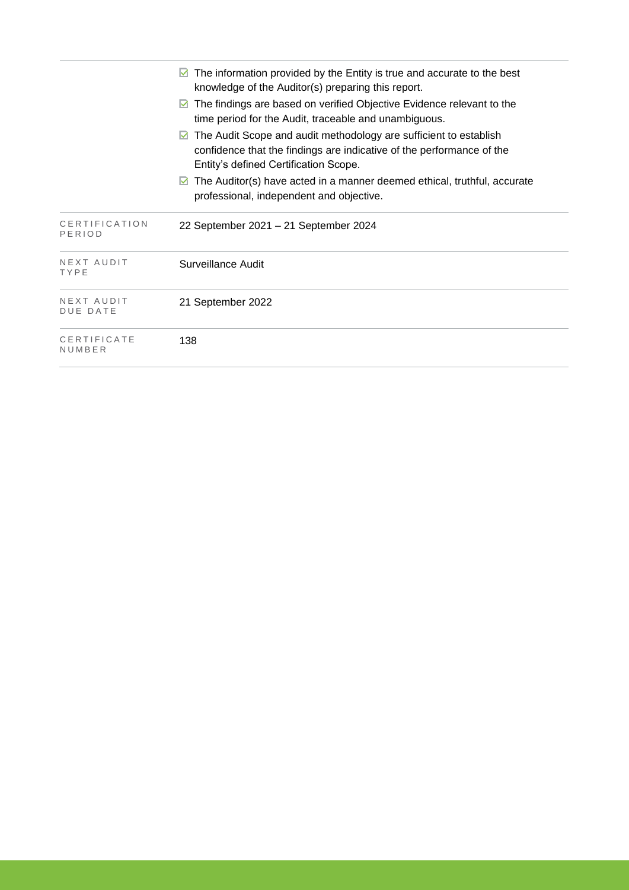|                               | The information provided by the Entity is true and accurate to the best<br>M<br>knowledge of the Auditor(s) preparing this report.                                                       |
|-------------------------------|------------------------------------------------------------------------------------------------------------------------------------------------------------------------------------------|
|                               | The findings are based on verified Objective Evidence relevant to the<br>$\vee$<br>time period for the Audit, traceable and unambiguous.                                                 |
|                               | The Audit Scope and audit methodology are sufficient to establish<br>M<br>confidence that the findings are indicative of the performance of the<br>Entity's defined Certification Scope. |
|                               | The Auditor(s) have acted in a manner deemed ethical, truthful, accurate<br>$\blacktriangledown$<br>professional, independent and objective.                                             |
| CERTIFICATION<br>PERIOD       | 22 September 2021 - 21 September 2024                                                                                                                                                    |
| NEXT AUDIT<br>TYPE            | Surveillance Audit                                                                                                                                                                       |
| NEXT AUDIT<br><b>DUE DATE</b> | 21 September 2022                                                                                                                                                                        |
| CERTIFICATE<br>NUMBER         | 138                                                                                                                                                                                      |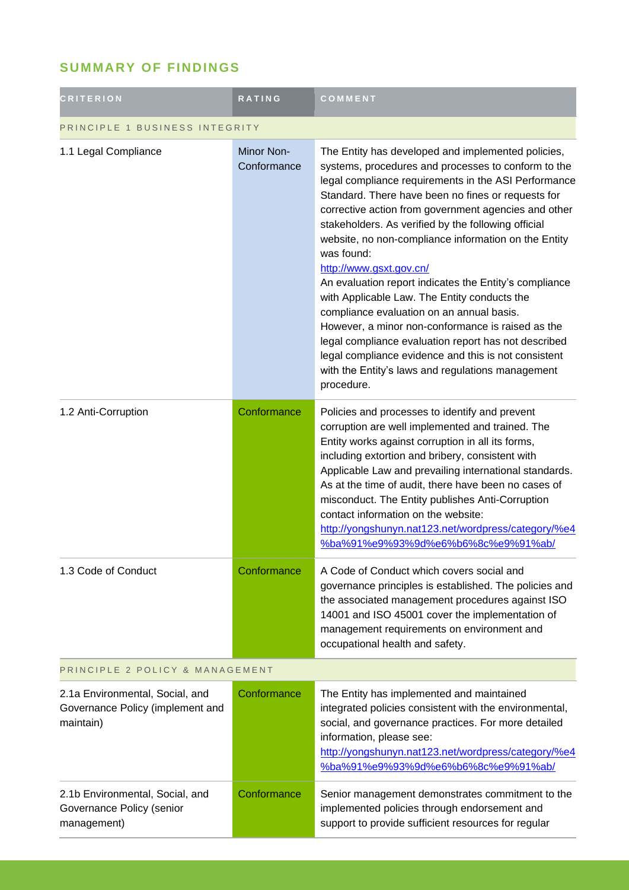## **SUMMARY OF FINDINGS**

| <b>CRITERION</b>                                                                 | <b>RATING</b>                    | COMMENT                                                                                                                                                                                                                                                                                                                                                                                                                                                                                                                                                                                                                                                                                                                                                                                                                                |  |
|----------------------------------------------------------------------------------|----------------------------------|----------------------------------------------------------------------------------------------------------------------------------------------------------------------------------------------------------------------------------------------------------------------------------------------------------------------------------------------------------------------------------------------------------------------------------------------------------------------------------------------------------------------------------------------------------------------------------------------------------------------------------------------------------------------------------------------------------------------------------------------------------------------------------------------------------------------------------------|--|
| PRINCIPLE 1 BUSINESS INTEGRITY                                                   |                                  |                                                                                                                                                                                                                                                                                                                                                                                                                                                                                                                                                                                                                                                                                                                                                                                                                                        |  |
| 1.1 Legal Compliance                                                             | <b>Minor Non-</b><br>Conformance | The Entity has developed and implemented policies,<br>systems, procedures and processes to conform to the<br>legal compliance requirements in the ASI Performance<br>Standard. There have been no fines or requests for<br>corrective action from government agencies and other<br>stakeholders. As verified by the following official<br>website, no non-compliance information on the Entity<br>was found:<br>http://www.gsxt.gov.cn/<br>An evaluation report indicates the Entity's compliance<br>with Applicable Law. The Entity conducts the<br>compliance evaluation on an annual basis.<br>However, a minor non-conformance is raised as the<br>legal compliance evaluation report has not described<br>legal compliance evidence and this is not consistent<br>with the Entity's laws and regulations management<br>procedure. |  |
| 1.2 Anti-Corruption                                                              | Conformance                      | Policies and processes to identify and prevent<br>corruption are well implemented and trained. The<br>Entity works against corruption in all its forms,<br>including extortion and bribery, consistent with<br>Applicable Law and prevailing international standards.<br>As at the time of audit, there have been no cases of<br>misconduct. The Entity publishes Anti-Corruption<br>contact information on the website:<br>http://yongshunyn.nat123.net/wordpress/category/%e4<br>%ba%91%e9%93%9d%e6%b6%8c%e9%91%ab/                                                                                                                                                                                                                                                                                                                  |  |
| 1.3 Code of Conduct                                                              | Conformance                      | A Code of Conduct which covers social and<br>governance principles is established. The policies and<br>the associated management procedures against ISO<br>14001 and ISO 45001 cover the implementation of<br>management requirements on environment and<br>occupational health and safety.                                                                                                                                                                                                                                                                                                                                                                                                                                                                                                                                            |  |
| PRINCIPLE 2 POLICY & MANAGEMENT                                                  |                                  |                                                                                                                                                                                                                                                                                                                                                                                                                                                                                                                                                                                                                                                                                                                                                                                                                                        |  |
| 2.1a Environmental, Social, and<br>Governance Policy (implement and<br>maintain) | Conformance                      | The Entity has implemented and maintained<br>integrated policies consistent with the environmental,<br>social, and governance practices. For more detailed<br>information, please see:<br>http://yongshunyn.nat123.net/wordpress/category/%e4<br>%ba%91%e9%93%9d%e6%b6%8c%e9%91%ab/                                                                                                                                                                                                                                                                                                                                                                                                                                                                                                                                                    |  |
| 2.1b Environmental, Social, and<br>Governance Policy (senior<br>management)      | Conformance                      | Senior management demonstrates commitment to the<br>implemented policies through endorsement and<br>support to provide sufficient resources for regular                                                                                                                                                                                                                                                                                                                                                                                                                                                                                                                                                                                                                                                                                |  |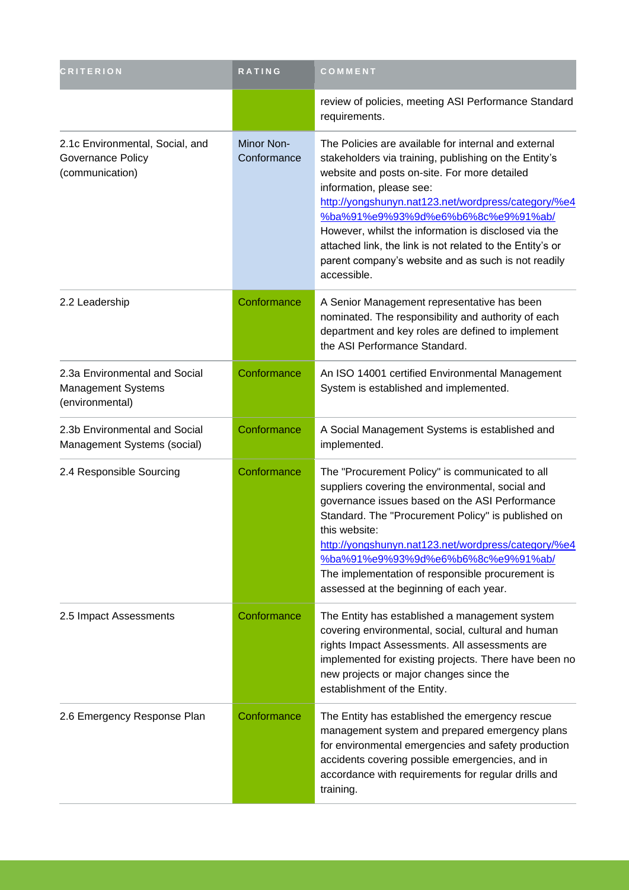| <b>CRITERION</b>                                                              | <b>RATING</b>                    | COMMENT                                                                                                                                                                                                                                                                                                                                                                                                                                                                           |
|-------------------------------------------------------------------------------|----------------------------------|-----------------------------------------------------------------------------------------------------------------------------------------------------------------------------------------------------------------------------------------------------------------------------------------------------------------------------------------------------------------------------------------------------------------------------------------------------------------------------------|
|                                                                               |                                  | review of policies, meeting ASI Performance Standard<br>requirements.                                                                                                                                                                                                                                                                                                                                                                                                             |
| 2.1c Environmental, Social, and<br>Governance Policy<br>(communication)       | <b>Minor Non-</b><br>Conformance | The Policies are available for internal and external<br>stakeholders via training, publishing on the Entity's<br>website and posts on-site. For more detailed<br>information, please see:<br>http://yongshunyn.nat123.net/wordpress/category/%e4<br>%ba%91%e9%93%9d%e6%b6%8c%e9%91%ab/<br>However, whilst the information is disclosed via the<br>attached link, the link is not related to the Entity's or<br>parent company's website and as such is not readily<br>accessible. |
| 2.2 Leadership                                                                | Conformance                      | A Senior Management representative has been<br>nominated. The responsibility and authority of each<br>department and key roles are defined to implement<br>the ASI Performance Standard.                                                                                                                                                                                                                                                                                          |
| 2.3a Environmental and Social<br><b>Management Systems</b><br>(environmental) | Conformance                      | An ISO 14001 certified Environmental Management<br>System is established and implemented.                                                                                                                                                                                                                                                                                                                                                                                         |
| 2.3b Environmental and Social<br>Management Systems (social)                  | Conformance                      | A Social Management Systems is established and<br>implemented.                                                                                                                                                                                                                                                                                                                                                                                                                    |
| 2.4 Responsible Sourcing                                                      | Conformance                      | The "Procurement Policy" is communicated to all<br>suppliers covering the environmental, social and<br>governance issues based on the ASI Performance<br>Standard. The "Procurement Policy" is published on<br>this website:<br>http://yongshunyn.nat123.net/wordpress/category/%e4<br>%ba%91%e9%93%9d%e6%b6%8c%e9%91%ab/<br>The implementation of responsible procurement is<br>assessed at the beginning of each year.                                                          |
| 2.5 Impact Assessments                                                        | Conformance                      | The Entity has established a management system<br>covering environmental, social, cultural and human<br>rights Impact Assessments. All assessments are<br>implemented for existing projects. There have been no<br>new projects or major changes since the<br>establishment of the Entity.                                                                                                                                                                                        |
| 2.6 Emergency Response Plan                                                   | Conformance                      | The Entity has established the emergency rescue<br>management system and prepared emergency plans<br>for environmental emergencies and safety production<br>accidents covering possible emergencies, and in<br>accordance with requirements for regular drills and<br>training.                                                                                                                                                                                                   |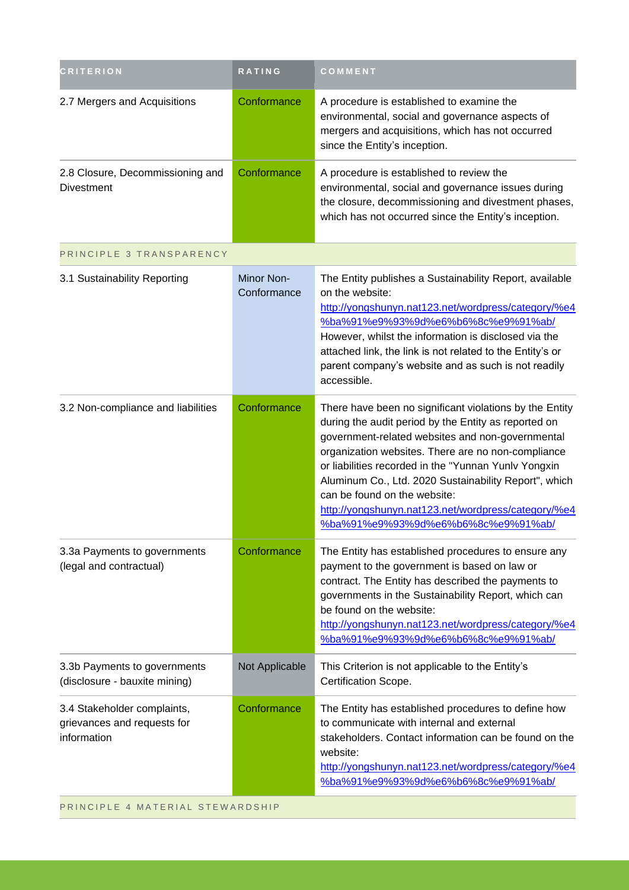| <b>CRITERION</b>                                                          | RATING                    | COMMENT                                                                                                                                                                                                                                                                                                                                                                                                                                                                 |
|---------------------------------------------------------------------------|---------------------------|-------------------------------------------------------------------------------------------------------------------------------------------------------------------------------------------------------------------------------------------------------------------------------------------------------------------------------------------------------------------------------------------------------------------------------------------------------------------------|
| 2.7 Mergers and Acquisitions                                              | Conformance               | A procedure is established to examine the<br>environmental, social and governance aspects of<br>mergers and acquisitions, which has not occurred<br>since the Entity's inception.                                                                                                                                                                                                                                                                                       |
| 2.8 Closure, Decommissioning and<br><b>Divestment</b>                     | Conformance               | A procedure is established to review the<br>environmental, social and governance issues during<br>the closure, decommissioning and divestment phases,<br>which has not occurred since the Entity's inception.                                                                                                                                                                                                                                                           |
| PRINCIPLE 3 TRANSPARENCY                                                  |                           |                                                                                                                                                                                                                                                                                                                                                                                                                                                                         |
| 3.1 Sustainability Reporting                                              | Minor Non-<br>Conformance | The Entity publishes a Sustainability Report, available<br>on the website:<br>http://yongshunyn.nat123.net/wordpress/category/%e4<br>%ba%91%e9%93%9d%e6%b6%8c%e9%91%ab/<br>However, whilst the information is disclosed via the<br>attached link, the link is not related to the Entity's or<br>parent company's website and as such is not readily<br>accessible.                                                                                                      |
| 3.2 Non-compliance and liabilities                                        | Conformance               | There have been no significant violations by the Entity<br>during the audit period by the Entity as reported on<br>government-related websites and non-governmental<br>organization websites. There are no non-compliance<br>or liabilities recorded in the "Yunnan Yunlv Yongxin<br>Aluminum Co., Ltd. 2020 Sustainability Report", which<br>can be found on the website:<br>http://yongshunyn.nat123.net/wordpress/category/%e4<br>%ba%91%e9%93%9d%e6%b6%8c%e9%91%ab/ |
| 3.3a Payments to governments<br>(legal and contractual)                   | Conformance               | The Entity has established procedures to ensure any<br>payment to the government is based on law or<br>contract. The Entity has described the payments to<br>governments in the Sustainability Report, which can<br>be found on the website:<br>http://yongshunyn.nat123.net/wordpress/category/%e4<br>%ba%91%e9%93%9d%e6%b6%8c%e9%91%ab/                                                                                                                               |
| 3.3b Payments to governments<br>(disclosure - bauxite mining)             | Not Applicable            | This Criterion is not applicable to the Entity's<br>Certification Scope.                                                                                                                                                                                                                                                                                                                                                                                                |
| 3.4 Stakeholder complaints,<br>grievances and requests for<br>information | Conformance               | The Entity has established procedures to define how<br>to communicate with internal and external<br>stakeholders. Contact information can be found on the<br>website:<br>http://yongshunyn.nat123.net/wordpress/category/%e4<br>%ba%91%e9%93%9d%e6%b6%8c%e9%91%ab/                                                                                                                                                                                                      |

PRINCIPLE 4 MATERIAL STEWARDSHIP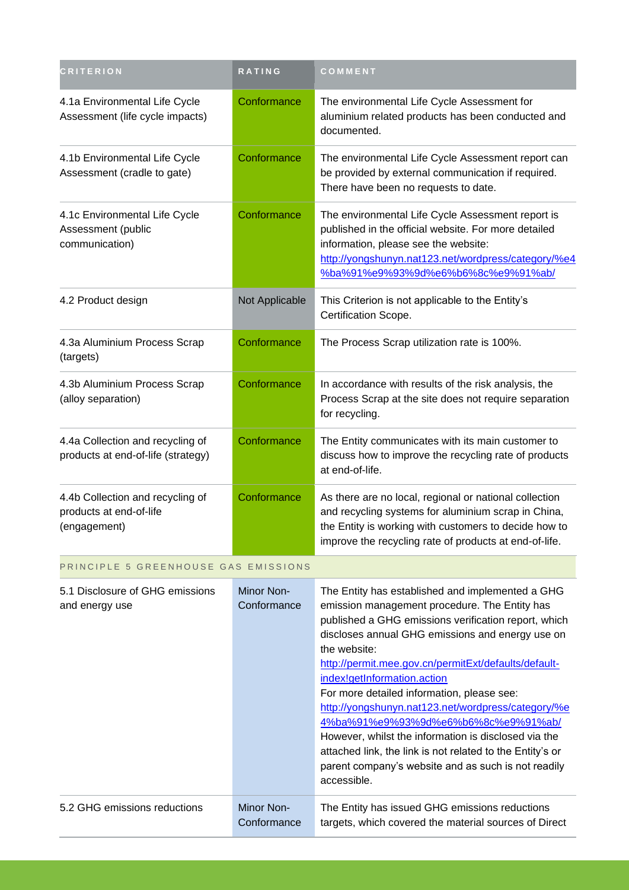| <b>CRITERION</b>                                                            | RATING                    | COMMENT                                                                                                                                                                                                                                                                                                                                                                                                                                                                                                                                                                                                                                                    |
|-----------------------------------------------------------------------------|---------------------------|------------------------------------------------------------------------------------------------------------------------------------------------------------------------------------------------------------------------------------------------------------------------------------------------------------------------------------------------------------------------------------------------------------------------------------------------------------------------------------------------------------------------------------------------------------------------------------------------------------------------------------------------------------|
| 4.1a Environmental Life Cycle<br>Assessment (life cycle impacts)            | Conformance               | The environmental Life Cycle Assessment for<br>aluminium related products has been conducted and<br>documented.                                                                                                                                                                                                                                                                                                                                                                                                                                                                                                                                            |
| 4.1b Environmental Life Cycle<br>Assessment (cradle to gate)                | Conformance               | The environmental Life Cycle Assessment report can<br>be provided by external communication if required.<br>There have been no requests to date.                                                                                                                                                                                                                                                                                                                                                                                                                                                                                                           |
| 4.1c Environmental Life Cycle<br>Assessment (public<br>communication)       | Conformance               | The environmental Life Cycle Assessment report is<br>published in the official website. For more detailed<br>information, please see the website:<br>http://yongshunyn.nat123.net/wordpress/category/%e4<br>%ba%91%e9%93%9d%e6%b6%8c%e9%91%ab/                                                                                                                                                                                                                                                                                                                                                                                                             |
| 4.2 Product design                                                          | Not Applicable            | This Criterion is not applicable to the Entity's<br>Certification Scope.                                                                                                                                                                                                                                                                                                                                                                                                                                                                                                                                                                                   |
| 4.3a Aluminium Process Scrap<br>(targets)                                   | Conformance               | The Process Scrap utilization rate is 100%.                                                                                                                                                                                                                                                                                                                                                                                                                                                                                                                                                                                                                |
| 4.3b Aluminium Process Scrap<br>(alloy separation)                          | Conformance               | In accordance with results of the risk analysis, the<br>Process Scrap at the site does not require separation<br>for recycling.                                                                                                                                                                                                                                                                                                                                                                                                                                                                                                                            |
| 4.4a Collection and recycling of<br>products at end-of-life (strategy)      | Conformance               | The Entity communicates with its main customer to<br>discuss how to improve the recycling rate of products<br>at end-of-life.                                                                                                                                                                                                                                                                                                                                                                                                                                                                                                                              |
| 4.4b Collection and recycling of<br>products at end-of-life<br>(engagement) | Conformance               | As there are no local, regional or national collection<br>and recycling systems for aluminium scrap in China,<br>the Entity is working with customers to decide how to<br>improve the recycling rate of products at end-of-life.                                                                                                                                                                                                                                                                                                                                                                                                                           |
| PRINCIPLE 5 GREENHOUSE GAS EMISSIONS                                        |                           |                                                                                                                                                                                                                                                                                                                                                                                                                                                                                                                                                                                                                                                            |
| 5.1 Disclosure of GHG emissions<br>and energy use                           | Minor Non-<br>Conformance | The Entity has established and implemented a GHG<br>emission management procedure. The Entity has<br>published a GHG emissions verification report, which<br>discloses annual GHG emissions and energy use on<br>the website:<br>http://permit.mee.gov.cn/permitExt/defaults/default-<br>index!getInformation.action<br>For more detailed information, please see:<br>http://yongshunyn.nat123.net/wordpress/category/%e<br>4%ba%91%e9%93%9d%e6%b6%8c%e9%91%ab/<br>However, whilst the information is disclosed via the<br>attached link, the link is not related to the Entity's or<br>parent company's website and as such is not readily<br>accessible. |
| 5.2 GHG emissions reductions                                                | Minor Non-<br>Conformance | The Entity has issued GHG emissions reductions<br>targets, which covered the material sources of Direct                                                                                                                                                                                                                                                                                                                                                                                                                                                                                                                                                    |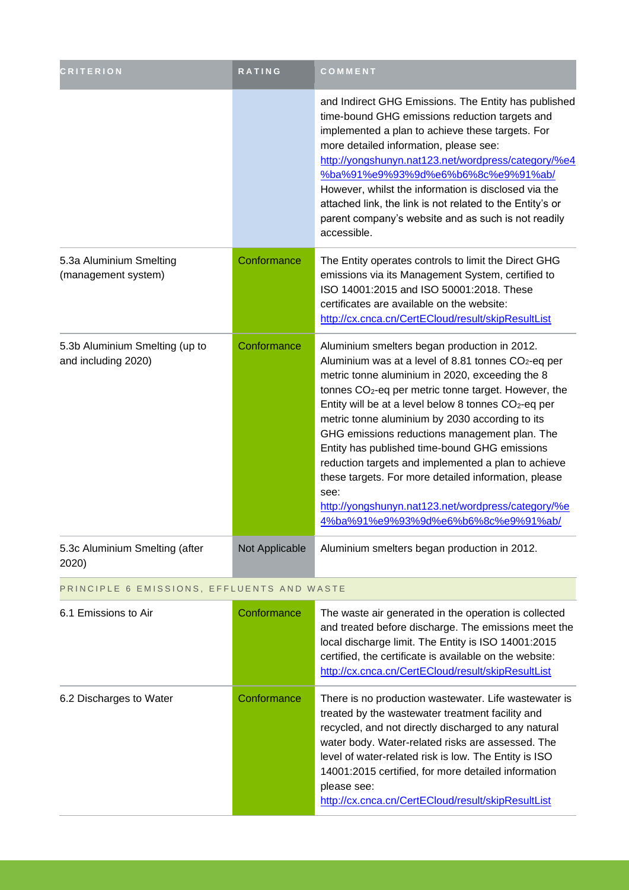| <b>CRITERION</b>                                      | <b>RATING</b>  | COMMENT                                                                                                                                                                                                                                                                                                                                                                                                                                                                                                                                                                                                                                                                             |
|-------------------------------------------------------|----------------|-------------------------------------------------------------------------------------------------------------------------------------------------------------------------------------------------------------------------------------------------------------------------------------------------------------------------------------------------------------------------------------------------------------------------------------------------------------------------------------------------------------------------------------------------------------------------------------------------------------------------------------------------------------------------------------|
|                                                       |                | and Indirect GHG Emissions. The Entity has published<br>time-bound GHG emissions reduction targets and<br>implemented a plan to achieve these targets. For<br>more detailed information, please see:<br>http://yongshunyn.nat123.net/wordpress/category/%e4<br>%ba%91%e9%93%9d%e6%b6%8c%e9%91%ab/<br>However, whilst the information is disclosed via the<br>attached link, the link is not related to the Entity's or<br>parent company's website and as such is not readily<br>accessible.                                                                                                                                                                                        |
| 5.3a Aluminium Smelting<br>(management system)        | Conformance    | The Entity operates controls to limit the Direct GHG<br>emissions via its Management System, certified to<br>ISO 14001:2015 and ISO 50001:2018. These<br>certificates are available on the website:<br>http://cx.cnca.cn/CertECloud/result/skipResultList                                                                                                                                                                                                                                                                                                                                                                                                                           |
| 5.3b Aluminium Smelting (up to<br>and including 2020) | Conformance    | Aluminium smelters began production in 2012.<br>Aluminium was at a level of 8.81 tonnes CO <sub>2</sub> -eq per<br>metric tonne aluminium in 2020, exceeding the 8<br>tonnes CO <sub>2</sub> -eq per metric tonne target. However, the<br>Entity will be at a level below 8 tonnes CO <sub>2</sub> -eq per<br>metric tonne aluminium by 2030 according to its<br>GHG emissions reductions management plan. The<br>Entity has published time-bound GHG emissions<br>reduction targets and implemented a plan to achieve<br>these targets. For more detailed information, please<br>see:<br>http://yongshunyn.nat123.net/wordpress/category/%e<br>4%ba%91%e9%93%9d%e6%b6%8c%e9%91%ab/ |
| 5.3c Aluminium Smelting (after<br>2020)               | Not Applicable | Aluminium smelters began production in 2012.                                                                                                                                                                                                                                                                                                                                                                                                                                                                                                                                                                                                                                        |
| PRINCIPLE 6 EMISSIONS, EFFLUENTS AND WASTE            |                |                                                                                                                                                                                                                                                                                                                                                                                                                                                                                                                                                                                                                                                                                     |
| 6.1 Emissions to Air                                  | Conformance    | The waste air generated in the operation is collected<br>and treated before discharge. The emissions meet the<br>local discharge limit. The Entity is ISO 14001:2015<br>certified, the certificate is available on the website:<br>http://cx.cnca.cn/CertECloud/result/skipResultList                                                                                                                                                                                                                                                                                                                                                                                               |
| 6.2 Discharges to Water                               | Conformance    | There is no production wastewater. Life wastewater is<br>treated by the wastewater treatment facility and<br>recycled, and not directly discharged to any natural<br>water body. Water-related risks are assessed. The<br>level of water-related risk is low. The Entity is ISO<br>14001:2015 certified, for more detailed information                                                                                                                                                                                                                                                                                                                                              |

please see:

<http://cx.cnca.cn/CertECloud/result/skipResultList>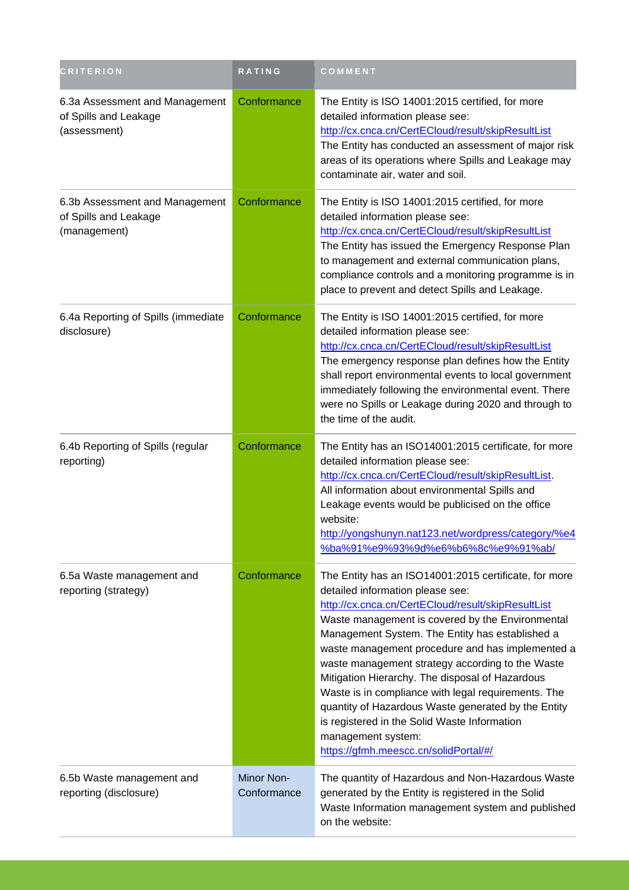| <b>CRITERION</b>                                                        | RATING                    | <b>COMMENT</b>                                                                                                                                                                                                                                                                                                                                                                                                                                                                                                                                                                                                                                 |
|-------------------------------------------------------------------------|---------------------------|------------------------------------------------------------------------------------------------------------------------------------------------------------------------------------------------------------------------------------------------------------------------------------------------------------------------------------------------------------------------------------------------------------------------------------------------------------------------------------------------------------------------------------------------------------------------------------------------------------------------------------------------|
| 6.3a Assessment and Management<br>of Spills and Leakage<br>(assessment) | Conformance               | The Entity is ISO 14001:2015 certified, for more<br>detailed information please see:<br>http://cx.cnca.cn/CertECloud/result/skipResultList<br>The Entity has conducted an assessment of major risk<br>areas of its operations where Spills and Leakage may<br>contaminate air, water and soil.                                                                                                                                                                                                                                                                                                                                                 |
| 6.3b Assessment and Management<br>of Spills and Leakage<br>(management) | Conformance               | The Entity is ISO 14001:2015 certified, for more<br>detailed information please see:<br>http://cx.cnca.cn/CertECloud/result/skipResultList<br>The Entity has issued the Emergency Response Plan<br>to management and external communication plans,<br>compliance controls and a monitoring programme is in<br>place to prevent and detect Spills and Leakage.                                                                                                                                                                                                                                                                                  |
| 6.4a Reporting of Spills (immediate<br>disclosure)                      | Conformance               | The Entity is ISO 14001:2015 certified, for more<br>detailed information please see:<br>http://cx.cnca.cn/CertECloud/result/skipResultList<br>The emergency response plan defines how the Entity<br>shall report environmental events to local government<br>immediately following the environmental event. There<br>were no Spills or Leakage during 2020 and through to<br>the time of the audit.                                                                                                                                                                                                                                            |
| 6.4b Reporting of Spills (regular<br>reporting)                         | Conformance               | The Entity has an ISO14001:2015 certificate, for more<br>detailed information please see:<br>http://cx.cnca.cn/CertECloud/result/skipResultList.<br>All information about environmental Spills and<br>Leakage events would be publicised on the office<br>website:<br>http://yongshunyn.nat123.net/wordpress/category/%e4<br>%ba%91%e9%93%9d%e6%b6%8c%e9%91%ab/                                                                                                                                                                                                                                                                                |
| 6.5a Waste management and<br>reporting (strategy)                       | Conformance               | The Entity has an ISO14001:2015 certificate, for more<br>detailed information please see:<br>http://cx.cnca.cn/CertECloud/result/skipResultList<br>Waste management is covered by the Environmental<br>Management System. The Entity has established a<br>waste management procedure and has implemented a<br>waste management strategy according to the Waste<br>Mitigation Hierarchy. The disposal of Hazardous<br>Waste is in compliance with legal requirements. The<br>quantity of Hazardous Waste generated by the Entity<br>is registered in the Solid Waste Information<br>management system:<br>https://gfmh.meescc.cn/solidPortal/#/ |
| 6.5b Waste management and<br>reporting (disclosure)                     | Minor Non-<br>Conformance | The quantity of Hazardous and Non-Hazardous Waste<br>generated by the Entity is registered in the Solid<br>Waste Information management system and published<br>on the website:                                                                                                                                                                                                                                                                                                                                                                                                                                                                |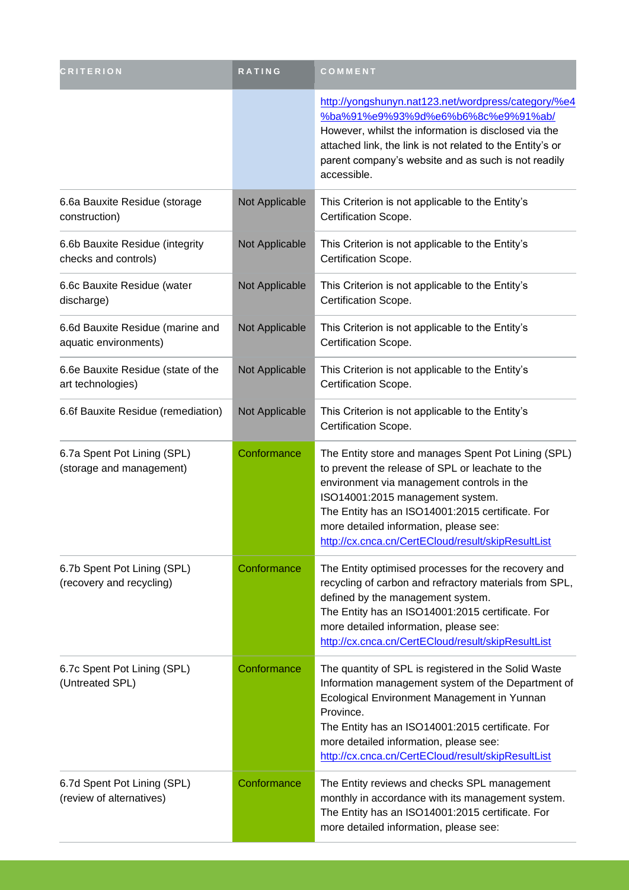| <b>CRITERION</b>                                          | RATING         | COMMENT                                                                                                                                                                                                                                                                                                                                       |
|-----------------------------------------------------------|----------------|-----------------------------------------------------------------------------------------------------------------------------------------------------------------------------------------------------------------------------------------------------------------------------------------------------------------------------------------------|
|                                                           |                | http://yongshunyn.nat123.net/wordpress/category/%e4<br>%ba%91%e9%93%9d%e6%b6%8c%e9%91%ab/<br>However, whilst the information is disclosed via the<br>attached link, the link is not related to the Entity's or<br>parent company's website and as such is not readily<br>accessible.                                                          |
| 6.6a Bauxite Residue (storage<br>construction)            | Not Applicable | This Criterion is not applicable to the Entity's<br>Certification Scope.                                                                                                                                                                                                                                                                      |
| 6.6b Bauxite Residue (integrity<br>checks and controls)   | Not Applicable | This Criterion is not applicable to the Entity's<br>Certification Scope.                                                                                                                                                                                                                                                                      |
| 6.6c Bauxite Residue (water<br>discharge)                 | Not Applicable | This Criterion is not applicable to the Entity's<br>Certification Scope.                                                                                                                                                                                                                                                                      |
| 6.6d Bauxite Residue (marine and<br>aquatic environments) | Not Applicable | This Criterion is not applicable to the Entity's<br>Certification Scope.                                                                                                                                                                                                                                                                      |
| 6.6e Bauxite Residue (state of the<br>art technologies)   | Not Applicable | This Criterion is not applicable to the Entity's<br>Certification Scope.                                                                                                                                                                                                                                                                      |
| 6.6f Bauxite Residue (remediation)                        | Not Applicable | This Criterion is not applicable to the Entity's<br>Certification Scope.                                                                                                                                                                                                                                                                      |
| 6.7a Spent Pot Lining (SPL)<br>(storage and management)   | Conformance    | The Entity store and manages Spent Pot Lining (SPL)<br>to prevent the release of SPL or leachate to the<br>environment via management controls in the<br>ISO14001:2015 management system.<br>The Entity has an ISO14001:2015 certificate. For<br>more detailed information, please see:<br>http://cx.cnca.cn/CertECloud/result/skipResultList |
| 6.7b Spent Pot Lining (SPL)<br>(recovery and recycling)   | Conformance    | The Entity optimised processes for the recovery and<br>recycling of carbon and refractory materials from SPL,<br>defined by the management system.<br>The Entity has an ISO14001:2015 certificate. For<br>more detailed information, please see:<br>http://cx.cnca.cn/CertECloud/result/skipResultList                                        |
| 6.7c Spent Pot Lining (SPL)<br>(Untreated SPL)            | Conformance    | The quantity of SPL is registered in the Solid Waste<br>Information management system of the Department of<br>Ecological Environment Management in Yunnan<br>Province.<br>The Entity has an ISO14001:2015 certificate. For<br>more detailed information, please see:<br>http://cx.cnca.cn/CertECloud/result/skipResultList                    |
| 6.7d Spent Pot Lining (SPL)<br>(review of alternatives)   | Conformance    | The Entity reviews and checks SPL management<br>monthly in accordance with its management system.<br>The Entity has an ISO14001:2015 certificate. For<br>more detailed information, please see:                                                                                                                                               |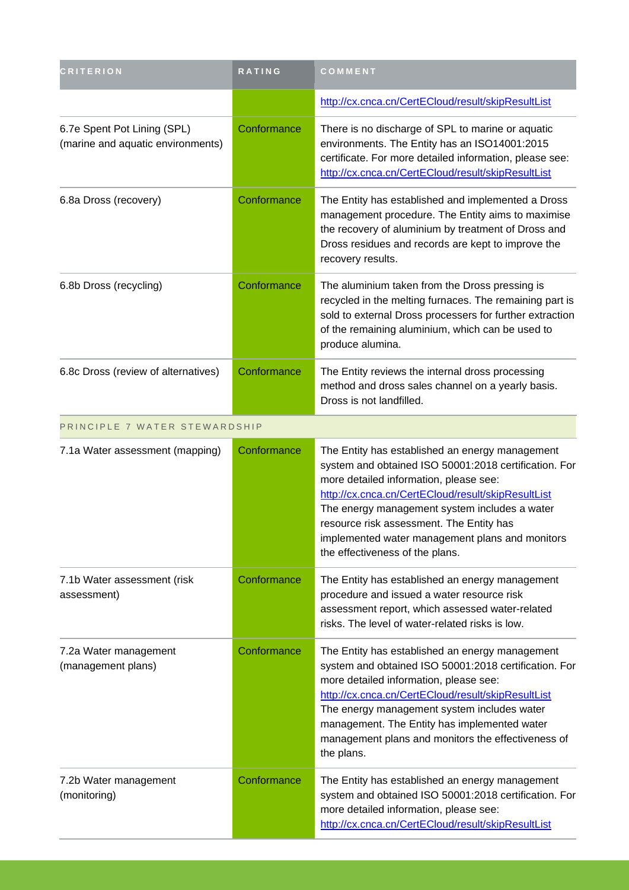| <b>CRITERION</b>                                                 | <b>RATING</b> | COMMENT                                                                                                                                                                                                                                                                                                                                                                                     |
|------------------------------------------------------------------|---------------|---------------------------------------------------------------------------------------------------------------------------------------------------------------------------------------------------------------------------------------------------------------------------------------------------------------------------------------------------------------------------------------------|
|                                                                  |               | http://cx.cnca.cn/CertECloud/result/skipResultList                                                                                                                                                                                                                                                                                                                                          |
| 6.7e Spent Pot Lining (SPL)<br>(marine and aquatic environments) | Conformance   | There is no discharge of SPL to marine or aquatic<br>environments. The Entity has an ISO14001:2015<br>certificate. For more detailed information, please see:<br>http://cx.cnca.cn/CertECloud/result/skipResultList                                                                                                                                                                         |
| 6.8a Dross (recovery)                                            | Conformance   | The Entity has established and implemented a Dross<br>management procedure. The Entity aims to maximise<br>the recovery of aluminium by treatment of Dross and<br>Dross residues and records are kept to improve the<br>recovery results.                                                                                                                                                   |
| 6.8b Dross (recycling)                                           | Conformance   | The aluminium taken from the Dross pressing is<br>recycled in the melting furnaces. The remaining part is<br>sold to external Dross processers for further extraction<br>of the remaining aluminium, which can be used to<br>produce alumina.                                                                                                                                               |
| 6.8c Dross (review of alternatives)                              | Conformance   | The Entity reviews the internal dross processing<br>method and dross sales channel on a yearly basis.<br>Dross is not landfilled.                                                                                                                                                                                                                                                           |
| PRINCIPLE 7 WATER STEWARDSHIP                                    |               |                                                                                                                                                                                                                                                                                                                                                                                             |
| 7.1a Water assessment (mapping)                                  | Conformance   | The Entity has established an energy management<br>system and obtained ISO 50001:2018 certification. For<br>more detailed information, please see:<br>http://cx.cnca.cn/CertECloud/result/skipResultList<br>The energy management system includes a water<br>resource risk assessment. The Entity has<br>implemented water management plans and monitors<br>the effectiveness of the plans. |
| 7.1b Water assessment (risk<br>assessment)                       | Conformance   | The Entity has established an energy management<br>procedure and issued a water resource risk<br>assessment report, which assessed water-related<br>risks. The level of water-related risks is low.                                                                                                                                                                                         |
|                                                                  |               |                                                                                                                                                                                                                                                                                                                                                                                             |

| 7.2a Water management<br>(management plans) | Conformance | The Entity has established an energy management<br>system and obtained ISO 50001:2018 certification. For<br>more detailed information, please see:<br>http://cx.cnca.cn/CertECloud/result/skipResultList<br>The energy management system includes water<br>management. The Entity has implemented water<br>management plans and monitors the effectiveness of<br>the plans. |
|---------------------------------------------|-------------|-----------------------------------------------------------------------------------------------------------------------------------------------------------------------------------------------------------------------------------------------------------------------------------------------------------------------------------------------------------------------------|
| 7.2b Water management<br>(monitoring)       | Conformance | The Entity has established an energy management<br>system and obtained ISO 50001:2018 certification. For<br>more detailed information, please see:                                                                                                                                                                                                                          |

<http://cx.cnca.cn/CertECloud/result/skipResultList>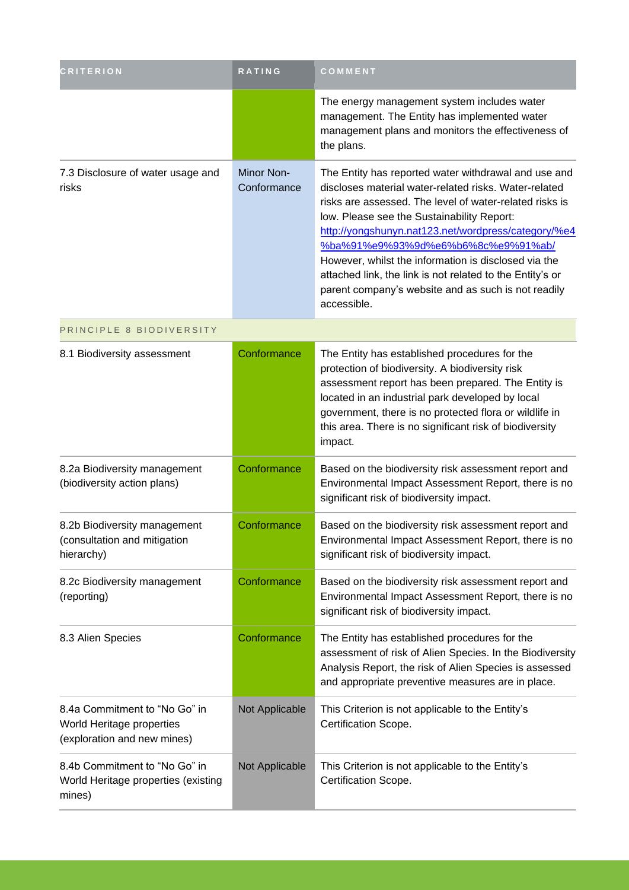| <b>CRITERION</b>                                                                          | <b>RATING</b>                    | COMMENT                                                                                                                                                                                                                                                                                                                                                                                                                                                                                                        |
|-------------------------------------------------------------------------------------------|----------------------------------|----------------------------------------------------------------------------------------------------------------------------------------------------------------------------------------------------------------------------------------------------------------------------------------------------------------------------------------------------------------------------------------------------------------------------------------------------------------------------------------------------------------|
|                                                                                           |                                  | The energy management system includes water<br>management. The Entity has implemented water<br>management plans and monitors the effectiveness of<br>the plans.                                                                                                                                                                                                                                                                                                                                                |
| 7.3 Disclosure of water usage and<br>risks                                                | <b>Minor Non-</b><br>Conformance | The Entity has reported water withdrawal and use and<br>discloses material water-related risks. Water-related<br>risks are assessed. The level of water-related risks is<br>low. Please see the Sustainability Report:<br>http://yongshunyn.nat123.net/wordpress/category/%e4<br>%ba%91%e9%93%9d%e6%b6%8c%e9%91%ab/<br>However, whilst the information is disclosed via the<br>attached link, the link is not related to the Entity's or<br>parent company's website and as such is not readily<br>accessible. |
| PRINCIPLE 8 BIODIVERSITY                                                                  |                                  |                                                                                                                                                                                                                                                                                                                                                                                                                                                                                                                |
| 8.1 Biodiversity assessment                                                               | Conformance                      | The Entity has established procedures for the<br>protection of biodiversity. A biodiversity risk<br>assessment report has been prepared. The Entity is<br>located in an industrial park developed by local<br>government, there is no protected flora or wildlife in<br>this area. There is no significant risk of biodiversity<br>impact.                                                                                                                                                                     |
| 8.2a Biodiversity management<br>(biodiversity action plans)                               | Conformance                      | Based on the biodiversity risk assessment report and<br>Environmental Impact Assessment Report, there is no<br>significant risk of biodiversity impact.                                                                                                                                                                                                                                                                                                                                                        |
| 8.2b Biodiversity management<br>(consultation and mitigation<br>hierarchy)                | Conformance                      | Based on the biodiversity risk assessment report and<br>Environmental Impact Assessment Report, there is no<br>significant risk of biodiversity impact.                                                                                                                                                                                                                                                                                                                                                        |
| 8.2c Biodiversity management<br>(reporting)                                               | Conformance                      | Based on the biodiversity risk assessment report and<br>Environmental Impact Assessment Report, there is no<br>significant risk of biodiversity impact.                                                                                                                                                                                                                                                                                                                                                        |
| 8.3 Alien Species                                                                         | Conformance                      | The Entity has established procedures for the<br>assessment of risk of Alien Species. In the Biodiversity<br>Analysis Report, the risk of Alien Species is assessed<br>and appropriate preventive measures are in place.                                                                                                                                                                                                                                                                                       |
| 8.4a Commitment to "No Go" in<br>World Heritage properties<br>(exploration and new mines) | Not Applicable                   | This Criterion is not applicable to the Entity's<br>Certification Scope.                                                                                                                                                                                                                                                                                                                                                                                                                                       |
| 8.4b Commitment to "No Go" in<br>World Heritage properties (existing<br>mines)            | Not Applicable                   | This Criterion is not applicable to the Entity's<br>Certification Scope.                                                                                                                                                                                                                                                                                                                                                                                                                                       |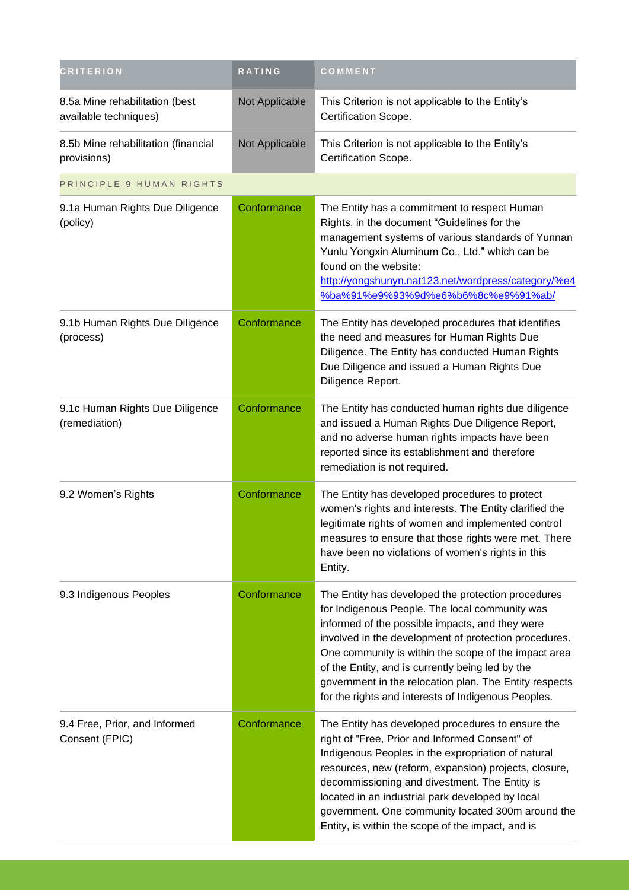| <b>CRITERION</b>                                        | RATING         | COMMENT                                                                                                                                                                                                                                                                                                                                                                                                                                       |
|---------------------------------------------------------|----------------|-----------------------------------------------------------------------------------------------------------------------------------------------------------------------------------------------------------------------------------------------------------------------------------------------------------------------------------------------------------------------------------------------------------------------------------------------|
| 8.5a Mine rehabilitation (best<br>available techniques) | Not Applicable | This Criterion is not applicable to the Entity's<br>Certification Scope.                                                                                                                                                                                                                                                                                                                                                                      |
| 8.5b Mine rehabilitation (financial<br>provisions)      | Not Applicable | This Criterion is not applicable to the Entity's<br>Certification Scope.                                                                                                                                                                                                                                                                                                                                                                      |
| PRINCIPLE 9 HUMAN RIGHTS                                |                |                                                                                                                                                                                                                                                                                                                                                                                                                                               |
| 9.1a Human Rights Due Diligence<br>(policy)             | Conformance    | The Entity has a commitment to respect Human<br>Rights, in the document "Guidelines for the<br>management systems of various standards of Yunnan<br>Yunlu Yongxin Aluminum Co., Ltd." which can be<br>found on the website:<br>http://yongshunyn.nat123.net/wordpress/category/%e4<br>%ba%91%e9%93%9d%e6%b6%8c%e9%91%ab/                                                                                                                      |
| 9.1b Human Rights Due Diligence<br>(process)            | Conformance    | The Entity has developed procedures that identifies<br>the need and measures for Human Rights Due<br>Diligence. The Entity has conducted Human Rights<br>Due Diligence and issued a Human Rights Due<br>Diligence Report.                                                                                                                                                                                                                     |
| 9.1c Human Rights Due Diligence<br>(remediation)        | Conformance    | The Entity has conducted human rights due diligence<br>and issued a Human Rights Due Diligence Report,<br>and no adverse human rights impacts have been<br>reported since its establishment and therefore<br>remediation is not required.                                                                                                                                                                                                     |
| 9.2 Women's Rights                                      | Conformance    | The Entity has developed procedures to protect<br>women's rights and interests. The Entity clarified the<br>legitimate rights of women and implemented control<br>measures to ensure that those rights were met. There<br>have been no violations of women's rights in this<br>Entity.                                                                                                                                                        |
| 9.3 Indigenous Peoples                                  | Conformance    | The Entity has developed the protection procedures<br>for Indigenous People. The local community was<br>informed of the possible impacts, and they were<br>involved in the development of protection procedures.<br>One community is within the scope of the impact area<br>of the Entity, and is currently being led by the<br>government in the relocation plan. The Entity respects<br>for the rights and interests of Indigenous Peoples. |
| 9.4 Free, Prior, and Informed<br>Consent (FPIC)         | Conformance    | The Entity has developed procedures to ensure the<br>right of "Free, Prior and Informed Consent" of<br>Indigenous Peoples in the expropriation of natural<br>resources, new (reform, expansion) projects, closure,<br>decommissioning and divestment. The Entity is<br>located in an industrial park developed by local<br>government. One community located 300m around the<br>Entity, is within the scope of the impact, and is             |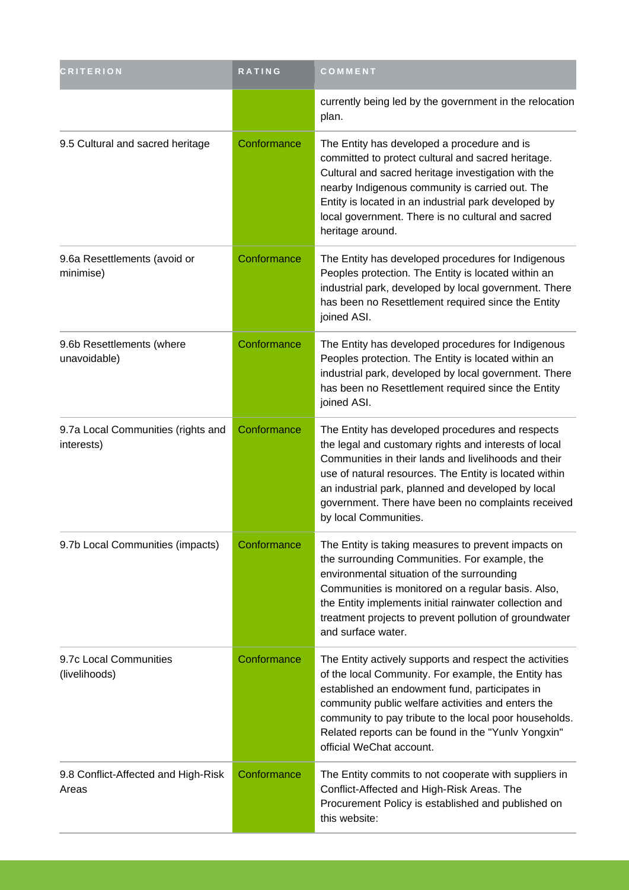| <b>CRITERION</b>                                 | RATING      | COMMENT                                                                                                                                                                                                                                                                                                                                                             |
|--------------------------------------------------|-------------|---------------------------------------------------------------------------------------------------------------------------------------------------------------------------------------------------------------------------------------------------------------------------------------------------------------------------------------------------------------------|
|                                                  |             | currently being led by the government in the relocation<br>plan.                                                                                                                                                                                                                                                                                                    |
| 9.5 Cultural and sacred heritage                 | Conformance | The Entity has developed a procedure and is<br>committed to protect cultural and sacred heritage.<br>Cultural and sacred heritage investigation with the<br>nearby Indigenous community is carried out. The<br>Entity is located in an industrial park developed by<br>local government. There is no cultural and sacred<br>heritage around.                        |
| 9.6a Resettlements (avoid or<br>minimise)        | Conformance | The Entity has developed procedures for Indigenous<br>Peoples protection. The Entity is located within an<br>industrial park, developed by local government. There<br>has been no Resettlement required since the Entity<br>joined ASI.                                                                                                                             |
| 9.6b Resettlements (where<br>unavoidable)        | Conformance | The Entity has developed procedures for Indigenous<br>Peoples protection. The Entity is located within an<br>industrial park, developed by local government. There<br>has been no Resettlement required since the Entity<br>joined ASI.                                                                                                                             |
| 9.7a Local Communities (rights and<br>interests) | Conformance | The Entity has developed procedures and respects<br>the legal and customary rights and interests of local<br>Communities in their lands and livelihoods and their<br>use of natural resources. The Entity is located within<br>an industrial park, planned and developed by local<br>government. There have been no complaints received<br>by local Communities.    |
| 9.7b Local Communities (impacts)                 | Conformance | The Entity is taking measures to prevent impacts on<br>the surrounding Communities. For example, the<br>environmental situation of the surrounding<br>Communities is monitored on a regular basis. Also,<br>the Entity implements initial rainwater collection and<br>treatment projects to prevent pollution of groundwater<br>and surface water.                  |
| 9.7c Local Communities<br>(livelihoods)          | Conformance | The Entity actively supports and respect the activities<br>of the local Community. For example, the Entity has<br>established an endowment fund, participates in<br>community public welfare activities and enters the<br>community to pay tribute to the local poor households.<br>Related reports can be found in the "Yunlv Yongxin"<br>official WeChat account. |
| 9.8 Conflict-Affected and High-Risk<br>Areas     | Conformance | The Entity commits to not cooperate with suppliers in<br>Conflict-Affected and High-Risk Areas. The<br>Procurement Policy is established and published on<br>this website:                                                                                                                                                                                          |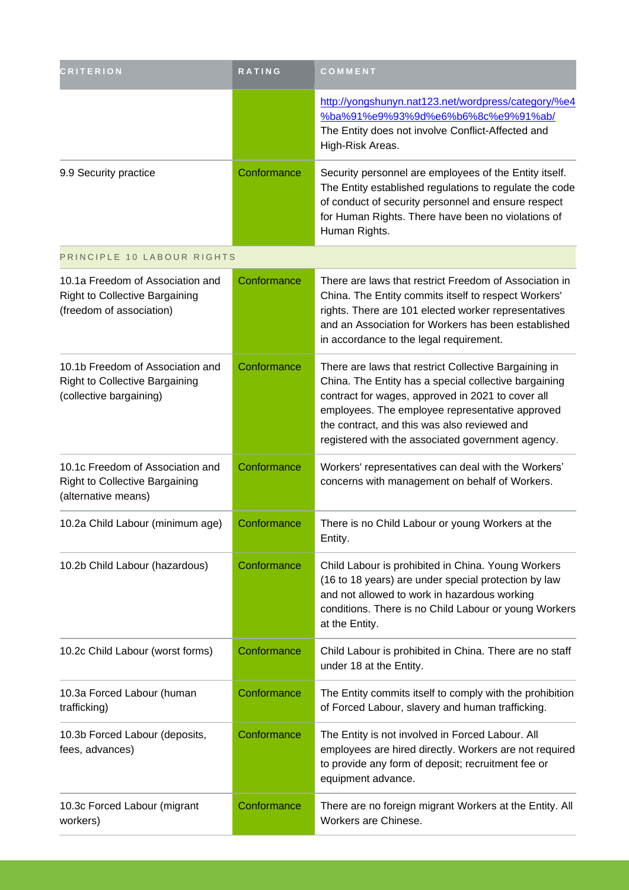| <b>CRITERION</b>                                                                                      | RATING      | COMMENT                                                                                                                                                                                                                                                                                                                     |
|-------------------------------------------------------------------------------------------------------|-------------|-----------------------------------------------------------------------------------------------------------------------------------------------------------------------------------------------------------------------------------------------------------------------------------------------------------------------------|
|                                                                                                       |             | http://yongshunyn.nat123.net/wordpress/category/%e4<br>%ba%91%e9%93%9d%e6%b6%8c%e9%91%ab/<br>The Entity does not involve Conflict-Affected and<br>High-Risk Areas.                                                                                                                                                          |
| 9.9 Security practice                                                                                 | Conformance | Security personnel are employees of the Entity itself.<br>The Entity established regulations to regulate the code<br>of conduct of security personnel and ensure respect<br>for Human Rights. There have been no violations of<br>Human Rights.                                                                             |
| PRINCIPLE 10 LABOUR RIGHTS                                                                            |             |                                                                                                                                                                                                                                                                                                                             |
| 10.1a Freedom of Association and<br><b>Right to Collective Bargaining</b><br>(freedom of association) | Conformance | There are laws that restrict Freedom of Association in<br>China. The Entity commits itself to respect Workers'<br>rights. There are 101 elected worker representatives<br>and an Association for Workers has been established<br>in accordance to the legal requirement.                                                    |
| 10.1b Freedom of Association and<br><b>Right to Collective Bargaining</b><br>(collective bargaining)  | Conformance | There are laws that restrict Collective Bargaining in<br>China. The Entity has a special collective bargaining<br>contract for wages, approved in 2021 to cover all<br>employees. The employee representative approved<br>the contract, and this was also reviewed and<br>registered with the associated government agency. |
| 10.1c Freedom of Association and<br><b>Right to Collective Bargaining</b><br>(alternative means)      | Conformance | Workers' representatives can deal with the Workers'<br>concerns with management on behalf of Workers.                                                                                                                                                                                                                       |
| 10.2a Child Labour (minimum age)                                                                      | Conformance | There is no Child Labour or young Workers at the<br>Entity.                                                                                                                                                                                                                                                                 |
| 10.2b Child Labour (hazardous)                                                                        | Conformance | Child Labour is prohibited in China. Young Workers<br>(16 to 18 years) are under special protection by law<br>and not allowed to work in hazardous working<br>conditions. There is no Child Labour or young Workers<br>at the Entity.                                                                                       |
| 10.2c Child Labour (worst forms)                                                                      | Conformance | Child Labour is prohibited in China. There are no staff<br>under 18 at the Entity.                                                                                                                                                                                                                                          |
| 10.3a Forced Labour (human<br>trafficking)                                                            | Conformance | The Entity commits itself to comply with the prohibition<br>of Forced Labour, slavery and human trafficking.                                                                                                                                                                                                                |
| 10.3b Forced Labour (deposits,<br>fees, advances)                                                     | Conformance | The Entity is not involved in Forced Labour. All<br>employees are hired directly. Workers are not required<br>to provide any form of deposit; recruitment fee or<br>equipment advance.                                                                                                                                      |
| 10.3c Forced Labour (migrant<br>workers)                                                              | Conformance | There are no foreign migrant Workers at the Entity. All<br>Workers are Chinese.                                                                                                                                                                                                                                             |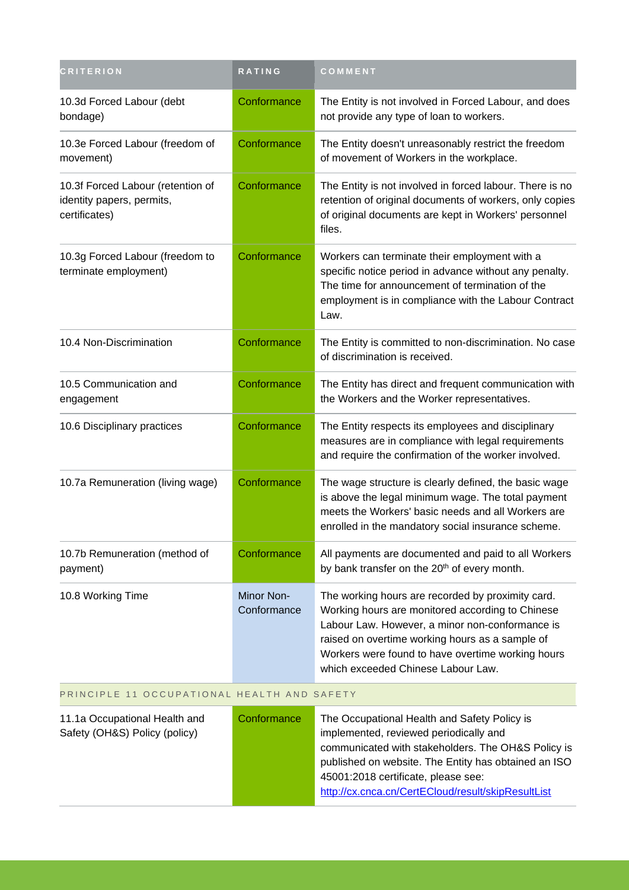| <b>CRITERION</b>                                                                | <b>RATING</b>             | COMMENT                                                                                                                                                                                                                                                                                                |
|---------------------------------------------------------------------------------|---------------------------|--------------------------------------------------------------------------------------------------------------------------------------------------------------------------------------------------------------------------------------------------------------------------------------------------------|
| 10.3d Forced Labour (debt<br>bondage)                                           | Conformance               | The Entity is not involved in Forced Labour, and does<br>not provide any type of loan to workers.                                                                                                                                                                                                      |
| 10.3e Forced Labour (freedom of<br>movement)                                    | Conformance               | The Entity doesn't unreasonably restrict the freedom<br>of movement of Workers in the workplace.                                                                                                                                                                                                       |
| 10.3f Forced Labour (retention of<br>identity papers, permits,<br>certificates) | Conformance               | The Entity is not involved in forced labour. There is no<br>retention of original documents of workers, only copies<br>of original documents are kept in Workers' personnel<br>files.                                                                                                                  |
| 10.3g Forced Labour (freedom to<br>terminate employment)                        | Conformance               | Workers can terminate their employment with a<br>specific notice period in advance without any penalty.<br>The time for announcement of termination of the<br>employment is in compliance with the Labour Contract<br>Law.                                                                             |
| 10.4 Non-Discrimination                                                         | Conformance               | The Entity is committed to non-discrimination. No case<br>of discrimination is received.                                                                                                                                                                                                               |
| 10.5 Communication and<br>engagement                                            | Conformance               | The Entity has direct and frequent communication with<br>the Workers and the Worker representatives.                                                                                                                                                                                                   |
| 10.6 Disciplinary practices                                                     | Conformance               | The Entity respects its employees and disciplinary<br>measures are in compliance with legal requirements<br>and require the confirmation of the worker involved.                                                                                                                                       |
| 10.7a Remuneration (living wage)                                                | Conformance               | The wage structure is clearly defined, the basic wage<br>is above the legal minimum wage. The total payment<br>meets the Workers' basic needs and all Workers are<br>enrolled in the mandatory social insurance scheme.                                                                                |
| 10.7b Remuneration (method of<br>payment)                                       | Conformance               | All payments are documented and paid to all Workers<br>by bank transfer on the 20 <sup>th</sup> of every month.                                                                                                                                                                                        |
| 10.8 Working Time                                                               | Minor Non-<br>Conformance | The working hours are recorded by proximity card.<br>Working hours are monitored according to Chinese<br>Labour Law. However, a minor non-conformance is<br>raised on overtime working hours as a sample of<br>Workers were found to have overtime working hours<br>which exceeded Chinese Labour Law. |

#### PRINCIPLE 11 OCCUPATIONAL HEALTH AND SAFETY

| 11.1a Occupational Health and<br>Safety (OH&S) Policy (policy) | Conformance | The Occupational Health and Safety Policy is<br>implemented, reviewed periodically and<br>communicated with stakeholders. The OH&S Policy is<br>published on website. The Entity has obtained an ISO<br>45001:2018 certificate, please see:<br>http://cx.cnca.cn/CertECloud/result/skipResultList |
|----------------------------------------------------------------|-------------|---------------------------------------------------------------------------------------------------------------------------------------------------------------------------------------------------------------------------------------------------------------------------------------------------|
|                                                                |             |                                                                                                                                                                                                                                                                                                   |